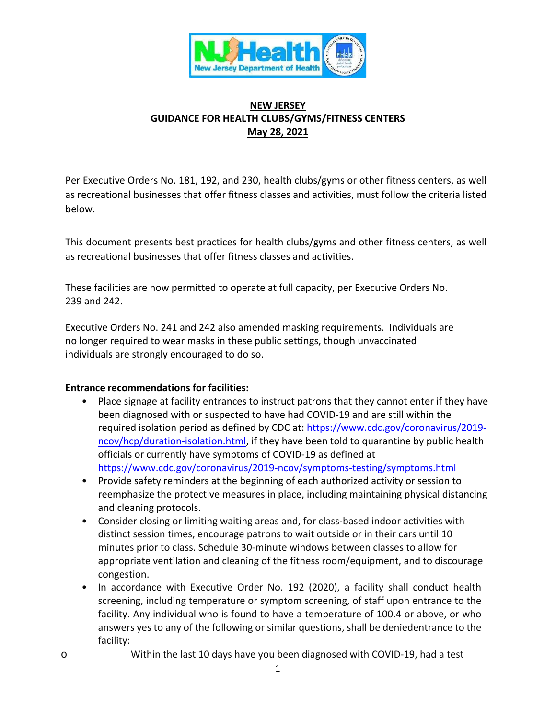

## **NEW JERSEY GUIDANCE FOR HEALTH CLUBS/GYMS/FITNESS CENTERS May 28, 2021**

Per Executive Orders No. 181, 192, and 230, health clubs/gyms or other fitness centers, as well as recreational businesses that offer fitness classes and activities, must follow the criteria listed below.

This document presents best practices for health clubs/gyms and other fitness centers, as well as recreational businesses that offer fitness classes and activities.

These facilities are now permitted to operate at full capacity, per Executive Orders No. 239 and 242.

Executive Orders No. 241 and 242 also amended masking requirements. Individuals are no longer required to wear masks in these public settings, though unvaccinated individuals are strongly encouraged to do so.

#### **Entrance recommendations for facilities:**

- Place signage at facility entrances to instruct patrons that they cannot enter if they have been diagnosed with or suspected to have had COVID-19 and are still within the required isolation period as defined by CDC at: [https://www.cdc.gov/coronavirus/2019](https://www.cdc.gov/coronavirus/2019-ncov/hcp/duration-isolation.html) [ncov/hcp/duration-isolation.html,](https://www.cdc.gov/coronavirus/2019-ncov/hcp/duration-isolation.html) if they have been told to quarantine by public health officials or currently have symptoms of COVID-19 as defined at <https://www.cdc.gov/coronavirus/2019-ncov/symptoms-testing/symptoms.html>
- Provide safety reminders at the beginning of each authorized activity or session to reemphasize the protective measures in place, including maintaining physical distancing and cleaning protocols.
- Consider closing or limiting waiting areas and, for class-based indoor activities with distinct session times, encourage patrons to wait outside or in their cars until 10 minutes prior to class. Schedule 30-minute windows between classes to allow for appropriate ventilation and cleaning of the fitness room/equipment, and to discourage congestion.
- In accordance with Executive Order No. 192 (2020), a facility shall conduct health screening, including temperature or symptom screening, of staff upon entrance to the facility. Any individual who is found to have a temperature of 100.4 or above, or who answers yes to any of the following or similar questions, shall be deniedentrance to the facility:
- o Within the last 10 days have you been diagnosed with COVID-19, had a test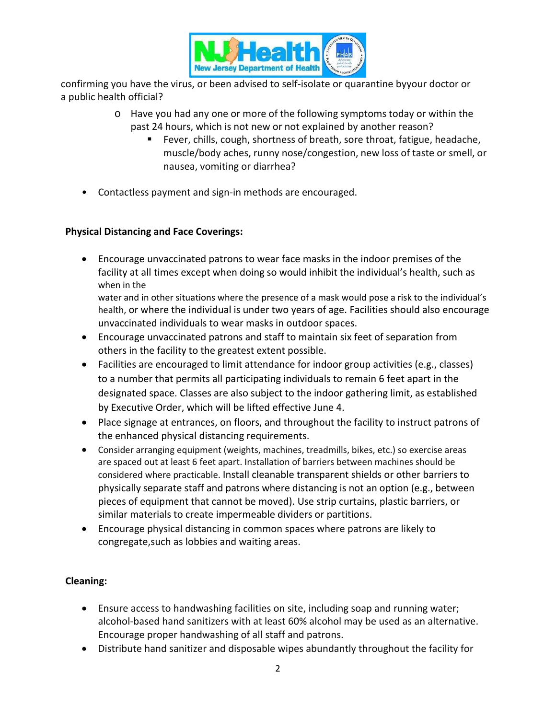

confirming you have the virus, or been advised to self-isolate or quarantine byyour doctor or a public health official?

- o Have you had any one or more of the following symptoms today or within the past 24 hours, which is not new or not explained by another reason?
	- Fever, chills, cough, shortness of breath, sore throat, fatigue, headache, muscle/body aches, runny nose/congestion, new loss of taste or smell, or nausea, vomiting or diarrhea?
- Contactless payment and sign-in methods are encouraged.

## **Physical Distancing and Face Coverings:**

• Encourage unvaccinated patrons to wear face masks in the indoor premises of the facility at all times except when doing so would inhibit the individual's health, such as when in the

water and in other situations where the presence of a mask would pose a risk to the individual's health, or where the individual is under two years of age. Facilities should also encourage unvaccinated individuals to wear masks in outdoor spaces.

- Encourage unvaccinated patrons and staff to maintain six feet of separation from others in the facility to the greatest extent possible.
- Facilities are encouraged to limit attendance for indoor group activities (e.g., classes) to a number that permits all participating individuals to remain 6 feet apart in the designated space. Classes are also subject to the indoor gathering limit, as established by Executive Order, which will be lifted effective June 4.
- Place signage at entrances, on floors, and throughout the facility to instruct patrons of the enhanced physical distancing requirements.
- Consider arranging equipment (weights, machines, treadmills, bikes, etc.) so exercise areas are spaced out at least 6 feet apart. Installation of barriers between machines should be considered where practicable. Install cleanable transparent shields or other barriers to physically separate staff and patrons where distancing is not an option (e.g., between pieces of equipment that cannot be moved). Use strip curtains, plastic barriers, or similar materials to create impermeable dividers or partitions.
- Encourage physical distancing in common spaces where patrons are likely to congregate,such as lobbies and waiting areas.

# **Cleaning:**

- Ensure access to handwashing facilities on site, including soap and running water; alcohol-based hand sanitizers with at least 60% alcohol may be used as an alternative. Encourage proper handwashing of all staff and patrons.
- Distribute hand sanitizer and disposable wipes abundantly throughout the facility for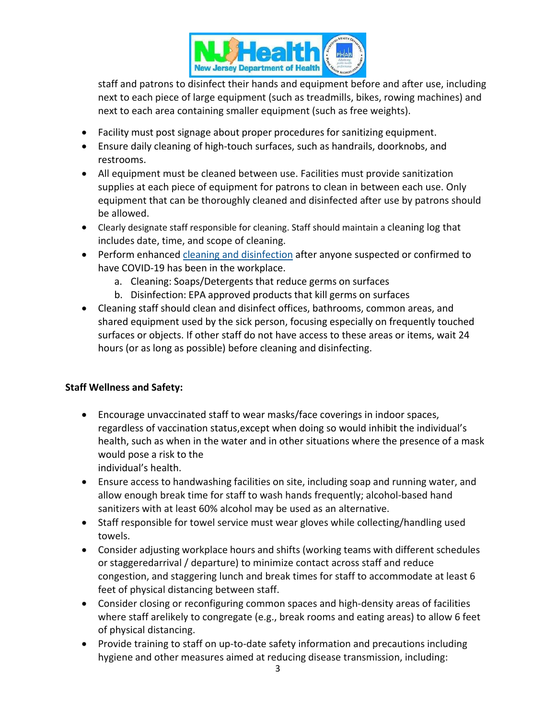

staff and patrons to disinfect their hands and equipment before and after use, including next to each piece of large equipment (such as treadmills, bikes, rowing machines) and next to each area containing smaller equipment (such as free weights).

- Facility must post signage about proper procedures for sanitizing equipment.
- Ensure daily cleaning of high-touch surfaces, such as handrails, doorknobs, and restrooms.
- All equipment must be cleaned between use. Facilities must provide sanitization supplies at each piece of equipment for patrons to clean in between each use. Only equipment that can be thoroughly cleaned and disinfected after use by patrons should be allowed.
- Clearly designate staff responsible for cleaning. Staff should maintain a cleaning log that includes date, time, and scope of cleaning.
- Perform enhanced [cleaning and disinfection](https://www.cdc.gov/coronavirus/2019-ncov/community/organizations/cleaning-disinfection.html) after anyone suspected or confirmed to have COVID-19 has been in the workplace.
	- a. Cleaning: Soaps/Detergents that reduce germs on surfaces
	- b. Disinfection: EPA approved products that kill germs on surfaces
- Cleaning staff should clean and disinfect offices, bathrooms, common areas, and shared equipment used by the sick person, focusing especially on frequently touched surfaces or objects. If other staff do not have access to these areas or items, wait 24 hours (or as long as possible) before cleaning and disinfecting.

# **Staff Wellness and Safety:**

- Encourage unvaccinated staff to wear masks/face coverings in indoor spaces, regardless of vaccination status,except when doing so would inhibit the individual's health, such as when in the water and in other situations where the presence of a mask would pose a risk to the individual's health.
- Ensure access to handwashing facilities on site, including soap and running water, and allow enough break time for staff to wash hands frequently; alcohol-based hand sanitizers with at least 60% alcohol may be used as an alternative.
- Staff responsible for towel service must wear gloves while collecting/handling used towels.
- Consider adjusting workplace hours and shifts (working teams with different schedules or staggeredarrival / departure) to minimize contact across staff and reduce congestion, and staggering lunch and break times for staff to accommodate at least 6 feet of physical distancing between staff.
- Consider closing or reconfiguring common spaces and high-density areas of facilities where staff arelikely to congregate (e.g., break rooms and eating areas) to allow 6 feet of physical distancing.
- Provide training to staff on up-to-date safety information and precautions including hygiene and other measures aimed at reducing disease transmission, including: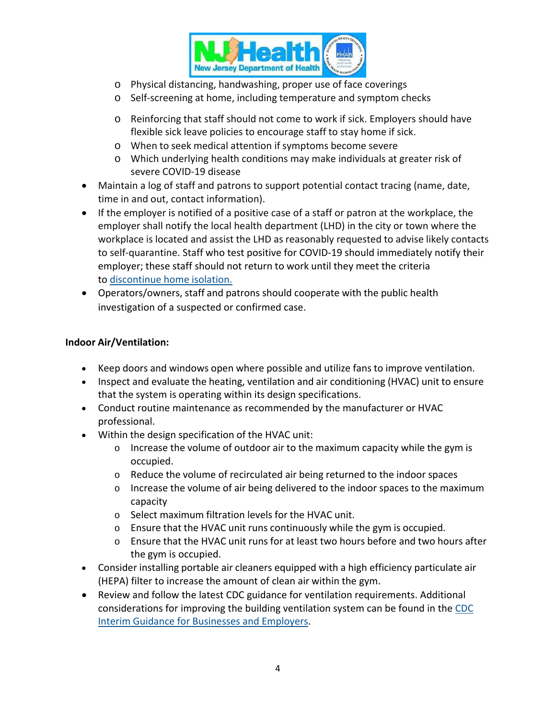

- o Physical distancing, handwashing, proper use of face coverings
- o Self-screening at home, including temperature and symptom checks
- o Reinforcing that staff should not come to work if sick. Employers should have flexible sick leave policies to encourage staff to stay home if sick.
- o When to seek medical attention if symptoms become severe
- o Which underlying health conditions may make individuals at greater risk of severe COVID-19 disease
- Maintain a log of staff and patrons to support potential contact tracing (name, date, time in and out, contact information).
- If the employer is notified of a positive case of a staff or patron at the workplace, the employer shall notify the local health department (LHD) in the city or town where the workplace is located and assist the LHD as reasonably requested to advise likely contacts to self-quarantine. Staff who test positive for COVID-19 should immediately notify their employer; these staff should not return to work until they meet the criteria to [discontinue](https://www.cdc.gov/coronavirus/2019-ncov/hcp/disposition-in-home-patients.html) home isolation.
- Operators/owners, staff and patrons should cooperate with the public health investigation of a suspected or confirmed case.

### **Indoor Air/Ventilation:**

- Keep doors and windows open where possible and utilize fans to improve ventilation.
- Inspect and evaluate the heating, ventilation and air conditioning (HVAC) unit to ensure that the system is operating within its design specifications.
- Conduct routine maintenance as recommended by the manufacturer or HVAC professional.
- Within the design specification of the HVAC unit:
	- $\circ$  Increase the volume of outdoor air to the maximum capacity while the gym is occupied.
	- o Reduce the volume of recirculated air being returned to the indoor spaces
	- $\circ$  Increase the volume of air being delivered to the indoor spaces to the maximum capacity
	- o Select maximum filtration levels for the HVAC unit.
	- o Ensure that the HVAC unit runs continuously while the gym is occupied.
	- $\circ$  Ensure that the HVAC unit runs for at least two hours before and two hours after the gym is occupied.
- Consider installing portable air cleaners equipped with a high efficiency particulate air (HEPA) filter to increase the amount of clean air within the gym.
- Review and follow the latest CDC guidance for ventilation requirements. Additional considerations for improving the building ventilation system can be found in the [CDC](https://www.cdc.gov/coronavirus/2019-ncov/community/guidance-business-response.html) Interim Guidance for Businesses and [Employers.](https://www.cdc.gov/coronavirus/2019-ncov/community/guidance-business-response.html)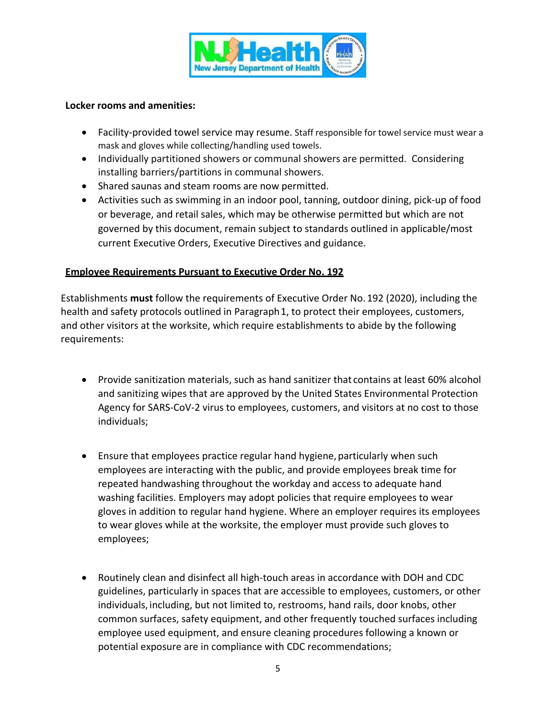

#### **Locker rooms and amenities:**

- Facility-provided towel service may resume. Staff responsible for towel service must wear a mask and gloves while collecting/handling used towels.
- Individually partitioned showers or communal showers are permitted. Considering installing barriers/partitions in communal showers.
- Shared saunas and steam rooms are now permitted.
- Activities such as swimming in an indoor pool, tanning, outdoor dining, pick-up of food or beverage, and retail sales, which may be otherwise permitted but which are not governed by this document, remain subject to standards outlined in applicable/most current Executive Orders, Executive Directives and guidance.

### **Employee Requirements Pursuant to Executive Order No. 192**

Establishments **must** follow the requirements of Executive Order No. 192 (2020), including the health and safety protocols outlined in Paragraph1, to protect their employees, customers, and other visitors at the worksite, which require establishments to abide by the following requirements:

- Provide sanitization materials, such as hand sanitizer that contains at least 60% alcohol and sanitizing wipes that are approved by the United States Environmental Protection Agency for SARS-CoV-2 virus to employees, customers, and visitors at no cost to those individuals;
- Ensure that employees practice regular hand hygiene, particularly when such employees are interacting with the public, and provide employees break time for repeated handwashing throughout the workday and access to adequate hand washing facilities. Employers may adopt policies that require employees to wear gloves in addition to regular hand hygiene. Where an employer requires its employees to wear gloves while at the worksite, the employer must provide such gloves to employees;
- Routinely clean and disinfect all high-touch areas in accordance with DOH and CDC guidelines, particularly in spaces that are accessible to employees, customers, or other individuals, including, but not limited to, restrooms, hand rails, door knobs, other common surfaces, safety equipment, and other frequently touched surfaces including employee used equipment, and ensure cleaning procedures following a known or potential exposure are in compliance with CDC recommendations;